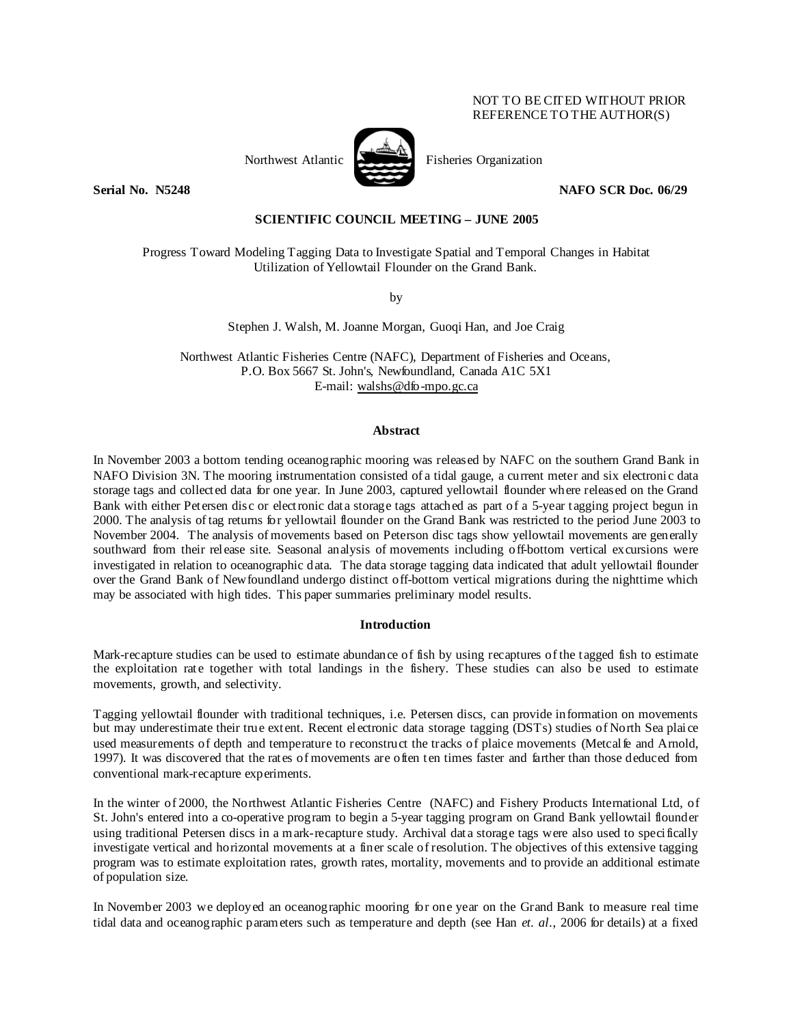# NOT TO BE CITED WITHOUT PRIOR REFERENCE TO THE AUTHOR(S)



Northwest Atlantic Fisheries Organization

**Serial No. N5248 NAFO SCR Doc. 06/29** 

# **SCIENTIFIC COUNCIL MEETING – JUNE 2005**

Progress Toward Modeling Tagging Data to Investigate Spatial and Temporal Changes in Habitat Utilization of Yellowtail Flounder on the Grand Bank.

by

Stephen J. Walsh, M. Joanne Morgan, Guoqi Han, and Joe Craig

Northwest Atlantic Fisheries Centre (NAFC), Department of Fisheries and Oceans, P.O. Box 5667 St. John's, Newfoundland, Canada A1C 5X1 E-mail: walshs@dfo-mpo.gc.ca

### **Abstract**

In November 2003 a bottom tending oceanographic mooring was released by NAFC on the southern Grand Bank in NAFO Division 3N. The mooring instrumentation consisted of a tidal gauge, a current meter and six electronic data storage tags and collected data for one year. In June 2003, captured yellowtail flounder where released on the Grand Bank with either Petersen disc or electronic data storage tags attached as part of a 5-year tagging project begun in 2000. The analysis of tag returns for yellowtail flounder on the Grand Bank was restricted to the period June 2003 to November 2004. The analysis of movements based on Peterson disc tags show yellowtail movements are generally southward from their release site. Seasonal analysis of movements including off-bottom vertical excursions were investigated in relation to oceanographic data. The data storage tagging data indicated that adult yellowtail flounder over the Grand Bank of Newfoundland undergo distinct off-bottom vertical migrations during the nighttime which may be associated with high tides. This paper summaries preliminary model results.

# **Introduction**

Mark-recapture studies can be used to estimate abundance of fish by using recaptures of the tagged fish to estimate the exploitation rate together with total landings in the fishery. These studies can also be used to estimate movements, growth, and selectivity.

Tagging yellowtail flounder with traditional techniques, i.e. Petersen discs, can provide information on movements but may underestimate their true extent. Recent electronic data storage tagging (DSTs) studies of North Sea plaice used measurements of depth and temperature to reconstruct the tracks of plaice movements (Metcalfe and Arnold, 1997). It was discovered that the rates of movements are often ten times faster and farther than those deduced from conventional mark-recapture experiments.

In the winter of 2000, the Northwest Atlantic Fisheries Centre (NAFC) and Fishery Products International Ltd, of St. John's entered into a co-operative program to begin a 5-year tagging program on Grand Bank yellowtail flounder using traditional Petersen discs in a mark-recapture study. Archival data storage tags were also used to specifically investigate vertical and horizontal movements at a finer scale of resolution. The objectives of this extensive tagging program was to estimate exploitation rates, growth rates, mortality, movements and to provide an additional estimate of population size.

In November 2003 we deployed an oceanographic mooring for one year on the Grand Bank to measure real time tidal data and oceanographic parameters such as temperature and depth (see Han *et. al*., 2006 for details) at a fixed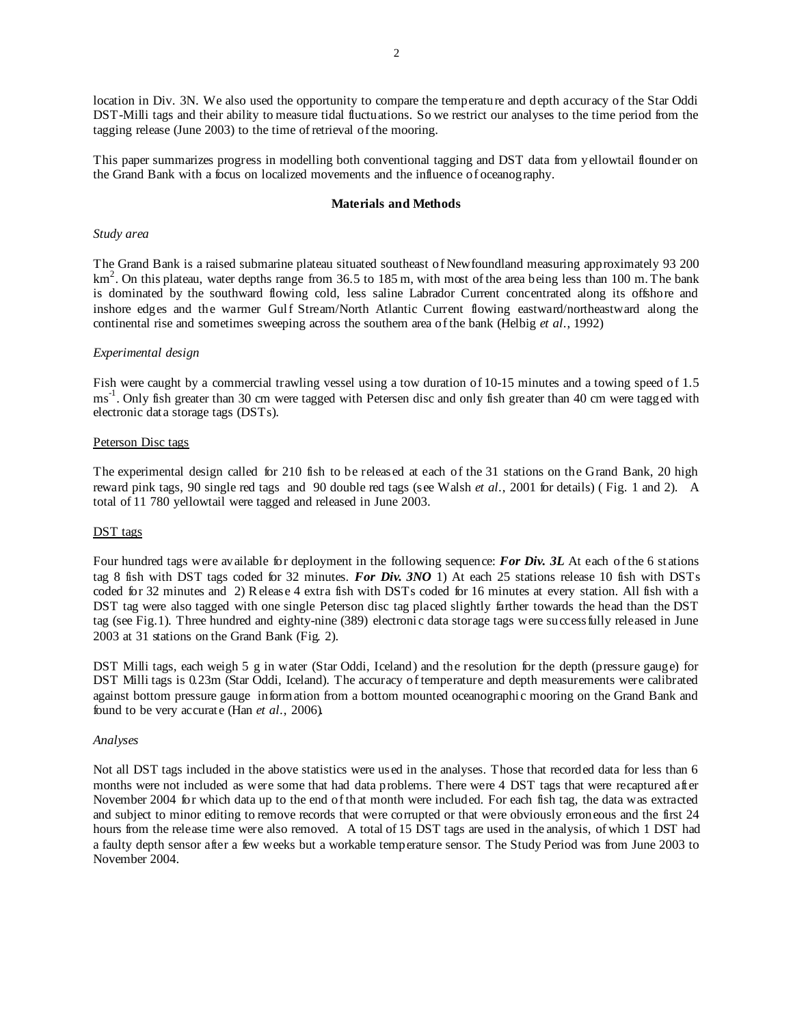location in Div. 3N. We also used the opportunity to compare the temperature and depth accuracy of the Star Oddi DST-Milli tags and their ability to measure tidal fluctuations. So we restrict our analyses to the time period from the tagging release (June 2003) to the time of retrieval of the mooring.

This paper summarizes progress in modelling both conventional tagging and DST data from yellowtail flounder on the Grand Bank with a focus on localized movements and the influence of oceanography.

#### **Materials and Methods**

#### *Study area*

The Grand Bank is a raised submarine plateau situated southeast of Newfoundland measuring approximately 93 200 km<sup>2</sup>. On this plateau, water depths range from 36.5 to 185 m, with most of the area being less than 100 m. The bank is dominated by the southward flowing cold, less saline Labrador Current concentrated along its offshore and inshore edges and the warmer Gulf Stream/North Atlantic Current flowing eastward/northeastward along the continental rise and sometimes sweeping across the southern area of the bank (Helbig *et al*., 1992)

# *Experimental design*

Fish were caught by a commercial trawling vessel using a tow duration of 10-15 minutes and a towing speed of 1.5 ms<sup>-1</sup>. Only fish greater than 30 cm were tagged with Petersen disc and only fish greater than 40 cm were tagged with electronic data storage tags (DSTs).

### Peterson Disc tags

The experimental design called for 210 fish to be released at each of the 31 stations on the Grand Bank, 20 high reward pink tags, 90 single red tags and 90 double red tags (see Walsh *et al*., 2001 for details) ( Fig. 1 and 2). A total of 11 780 yellowtail were tagged and released in June 2003.

# DST tags

Four hundred tags were available for deployment in the following sequence: *For Div. 3L* At each of the 6 stations tag 8 fish with DST tags coded for 32 minutes. *For Div. 3NO* 1) At each 25 stations release 10 fish with DSTs coded for 32 minutes and 2) R elease 4 extra fish with DSTs coded for 16 minutes at every station. All fish with a DST tag were also tagged with one single Peterson disc tag placed slightly farther towards the head than the DST tag (see Fig.1). Three hundred and eighty-nine (389) electronic data storage tags were successfully released in June 2003 at 31 stations on the Grand Bank (Fig. 2).

DST Milli tags, each weigh 5 g in water (Star Oddi, Iceland) and the resolution for the depth (pressure gauge) for DST Milli tags is 0.23m (Star Oddi, Iceland). The accuracy of temperature and depth measurements were calibrated against bottom pressure gauge information from a bottom mounted oceanographic mooring on the Grand Bank and found to be very accurate (Han *et al*., 2006).

#### *Analyses*

Not all DST tags included in the above statistics were used in the analyses. Those that recorded data for less than 6 months were not included as were some that had data problems. There were 4 DST tags that were recaptured after November 2004 for which data up to the end of that month were included. For each fish tag, the data was extracted and subject to minor editing to remove records that were corrupted or that were obviously erroneous and the first 24 hours from the release time were also removed. A total of 15 DST tags are used in the analysis, of which 1 DST had a faulty depth sensor after a few weeks but a workable temperature sensor. The Study Period was from June 2003 to November 2004.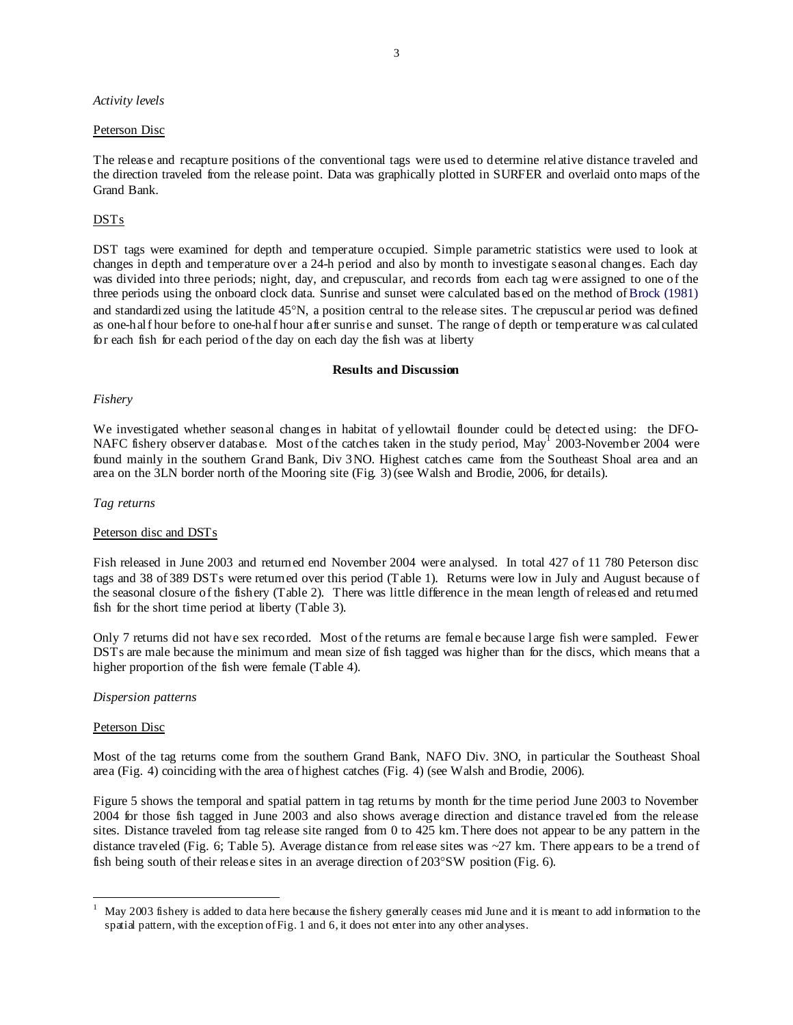### *Activity levels*

### Peterson Disc

The release and recapture positions of the conventional tags were used to determine relative distance traveled and the direction traveled from the release point. Data was graphically plotted in SURFER and overlaid onto maps of the Grand Bank.

# DST<sub>s</sub>

DST tags were examined for depth and temperature occupied. Simple parametric statistics were used to look at changes in depth and temperature over a 24-h period and also by month to investigate seasonal changes. Each day was divided into three periods; night, day, and crepuscular, and records from each tag were assigned to one of the three periods using the onboard clock data. Sunrise and sunset were calculated based on the method of Brock (1981) and standardized using the latitude 45°N, a position central to the release sites. The crepuscular period was defined as one-half hour before to one-half hour after sunrise and sunset. The range of depth or temperature was calculated for each fish for each period of the day on each day the fish was at liberty

### **Results and Discussion**

### *Fishery*

We investigated whether seasonal changes in habitat of yellowtail flounder could be detected using: the DFO-NAFC fishery observer database. Most of the catches taken in the study period, May<sup>1</sup> 2003-November 2004 were found mainly in the southern Grand Bank, Div 3NO. Highest catches came from the Southeast Shoal area and an area on the 3LN border north of the Mooring site (Fig. 3) (see Walsh and Brodie, 2006, for details).

### *Tag returns*

#### Peterson disc and DSTs

Fish released in June 2003 and returned end November 2004 were analysed. In total 427 of 11 780 Peterson disc tags and 38 of 389 DSTs were returned over this period (Table 1). Returns were low in July and August because of the seasonal closure of the fishery (Table 2). There was little difference in the mean length of released and returned fish for the short time period at liberty (Table 3).

Only 7 returns did not have sex recorded. Most of the returns are female because large fish were sampled. Fewer DSTs are male because the minimum and mean size of fish tagged was higher than for the discs, which means that a higher proportion of the fish were female (Table 4).

#### *Dispersion patterns*

#### Peterson Disc

j

Most of the tag returns come from the southern Grand Bank, NAFO Div. 3NO, in particular the Southeast Shoal area (Fig. 4) coinciding with the area of highest catches (Fig. 4) (see Walsh and Brodie, 2006).

Figure 5 shows the temporal and spatial pattern in tag returns by month for the time period June 2003 to November 2004 for those fish tagged in June 2003 and also shows average direction and distance traveled from the release sites. Distance traveled from tag release site ranged from 0 to 425 km. There does not appear to be any pattern in the distance traveled (Fig. 6; Table 5). Average distance from release sites was ~27 km. There appears to be a trend of fish being south of their release sites in an average direction of 203°SW position (Fig. 6).

<sup>1</sup> May 2003 fishery is added to data here because the fishery generally ceases mid June and it is meant to add information to the spatial pattern, with the exception of Fig. 1 and 6, it does not enter into any other analyses.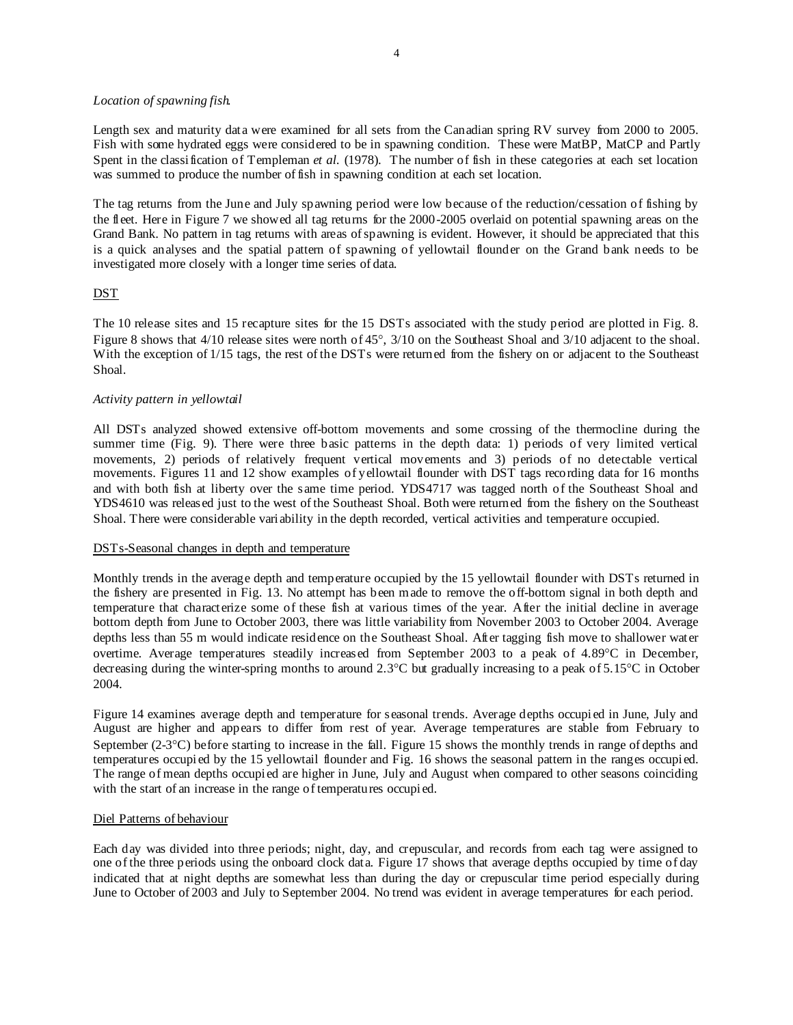### *Location of spawning fish.*

Length sex and maturity data were examined for all sets from the Canadian spring RV survey from 2000 to 2005. Fish with some hydrated eggs were considered to be in spawning condition. These were MatBP, MatCP and Partly Spent in the classification of Templeman *et al.* (1978). The number of fish in these categories at each set location was summed to produce the number of fish in spawning condition at each set location.

The tag returns from the June and July spawning period were low because of the reduction/cessation of fishing by the fleet. Here in Figure 7 we showed all tag returns for the 2000-2005 overlaid on potential spawning areas on the Grand Bank. No pattern in tag returns with areas of spawning is evident. However, it should be appreciated that this is a quick analyses and the spatial pattern of spawning of yellowtail flounder on the Grand bank needs to be investigated more closely with a longer time series of data.

### DST

The 10 release sites and 15 recapture sites for the 15 DSTs associated with the study period are plotted in Fig. 8. Figure 8 shows that 4/10 release sites were north of 45°, 3/10 on the Southeast Shoal and 3/10 adjacent to the shoal. With the exception of 1/15 tags, the rest of the DSTs were returned from the fishery on or adjacent to the Southeast Shoal.

# *Activity pattern in yellowtail*

All DSTs analyzed showed extensive off-bottom movements and some crossing of the thermocline during the summer time (Fig. 9). There were three basic patterns in the depth data: 1) periods of very limited vertical movements, 2) periods of relatively frequent vertical movements and 3) periods of no detectable vertical movements. Figures 11 and 12 show examples of yellowtail flounder with DST tags recording data for 16 months and with both fish at liberty over the same time period. YDS4717 was tagged north of the Southeast Shoal and YDS4610 was released just to the west of the Southeast Shoal. Both were returned from the fishery on the Southeast Shoal. There were considerable variability in the depth recorded, vertical activities and temperature occupied.

### DSTs-Seasonal changes in depth and temperature

Monthly trends in the average depth and temperature occupied by the 15 yellowtail flounder with DSTs returned in the fishery are presented in Fig. 13. No attempt has been made to remove the off-bottom signal in both depth and temperature that characterize some of these fish at various times of the year. After the initial decline in average bottom depth from June to October 2003, there was little variability from November 2003 to October 2004. Average depths less than 55 m would indicate residence on the Southeast Shoal. After tagging fish move to shallower water overtime. Average temperatures steadily increased from September 2003 to a peak of 4.89°C in December, decreasing during the winter-spring months to around 2.3°C but gradually increasing to a peak of 5.15°C in October 2004.

Figure 14 examines average depth and temperature for seasonal trends. Average depths occupied in June, July and August are higher and appears to differ from rest of year. Average temperatures are stable from February to September (2-3<sup>o</sup>C) before starting to increase in the fall. Figure 15 shows the monthly trends in range of depths and temperatures occupied by the 15 yellowtail flounder and Fig. 16 shows the seasonal pattern in the ranges occupied. The range of mean depths occupied are higher in June, July and August when compared to other seasons coinciding with the start of an increase in the range of temperatures occupied.

### Diel Patterns of behaviour

Each day was divided into three periods; night, day, and crepuscular, and records from each tag were assigned to one of the three periods using the onboard clock data. Figure 17 shows that average depths occupied by time of day indicated that at night depths are somewhat less than during the day or crepuscular time period especially during June to October of 2003 and July to September 2004. No trend was evident in average temperatures for each period.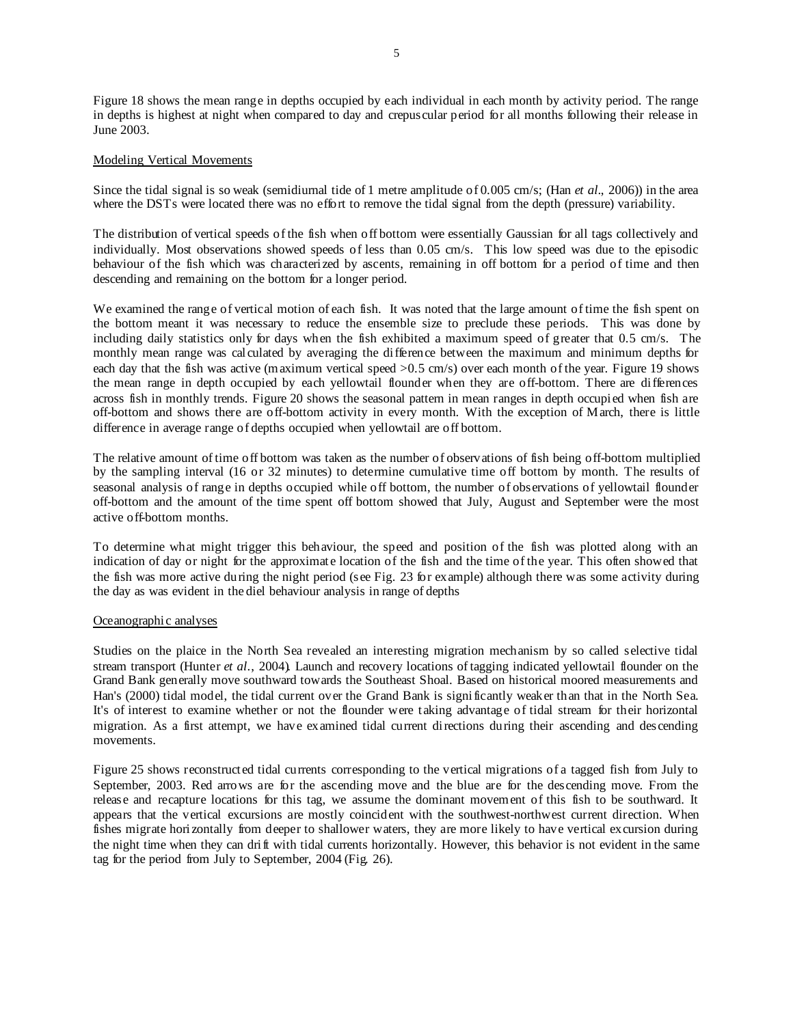Figure 18 shows the mean range in depths occupied by each individual in each month by activity period. The range in depths is highest at night when compared to day and crepuscular period for all months following their release in June 2003.

# Modeling Vertical Movements

Since the tidal signal is so weak (semidiurnal tide of 1 metre amplitude of 0.005 cm/s; (Han *et al.*, 2006)) in the area where the DSTs were located there was no effort to remove the tidal signal from the depth (pressure) variability.

The distribution of vertical speeds of the fish when off bottom were essentially Gaussian for all tags collectively and individually. Most observations showed speeds of less than 0.05 cm/s. This low speed was due to the episodic behaviour of the fish which was characterized by ascents, remaining in off bottom for a period of time and then descending and remaining on the bottom for a longer period.

We examined the range of vertical motion of each fish. It was noted that the large amount of time the fish spent on the bottom meant it was necessary to reduce the ensemble size to preclude these periods. This was done by including daily statistics only for days when the fish exhibited a maximum speed of greater that 0.5 cm/s. The monthly mean range was calculated by averaging the difference between the maximum and minimum depths for each day that the fish was active (maximum vertical speed  $>0.5$  cm/s) over each month of the year. Figure 19 shows the mean range in depth occupied by each yellowtail flounder when they are off-bottom. There are differences across fish in monthly trends. Figure 20 shows the seasonal pattern in mean ranges in depth occupied when fish are off-bottom and shows there are off-bottom activity in every month. With the exception of March, there is little difference in average range of depths occupied when yellowtail are off bottom.

The relative amount of time off bottom was taken as the number of observations of fish being off-bottom multiplied by the sampling interval (16 or 32 minutes) to determine cumulative time off bottom by month. The results of seasonal analysis of range in depths occupied while off bottom, the number of observations of yellowtail flounder off-bottom and the amount of the time spent off bottom showed that July, August and September were the most active off-bottom months.

To determine what might trigger this behaviour, the speed and position of the fish was plotted along with an indication of day or night for the approximate location of the fish and the time of the year. This often showed that the fish was more active during the night period (see Fig. 23 for example) although there was some activity during the day as was evident in the diel behaviour analysis in range of depths

# Oceanographic analyses

Studies on the plaice in the North Sea revealed an interesting migration mechanism by so called selective tidal stream transport (Hunter *et al*., 2004). Launch and recovery locations of tagging indicated yellowtail flounder on the Grand Bank generally move southward towards the Southeast Shoal. Based on historical moored measurements and Han's (2000) tidal model, the tidal current over the Grand Bank is significantly weaker than that in the North Sea. It's of interest to examine whether or not the flounder were taking advantage of tidal stream for their horizontal migration. As a first attempt, we have examined tidal current directions during their ascending and descending movements.

Figure 25 shows reconstructed tidal currents corresponding to the vertical migrations of a tagged fish from July to September, 2003. Red arrows are for the ascending move and the blue are for the descending move. From the release and recapture locations for this tag, we assume the dominant movement of this fish to be southward. It appears that the vertical excursions are mostly coincident with the southwest-northwest current direction. When fishes migrate horizontally from deeper to shallower waters, they are more likely to have vertical excursion during the night time when they can drift with tidal currents horizontally. However, this behavior is not evident in the same tag for the period from July to September, 2004 (Fig. 26).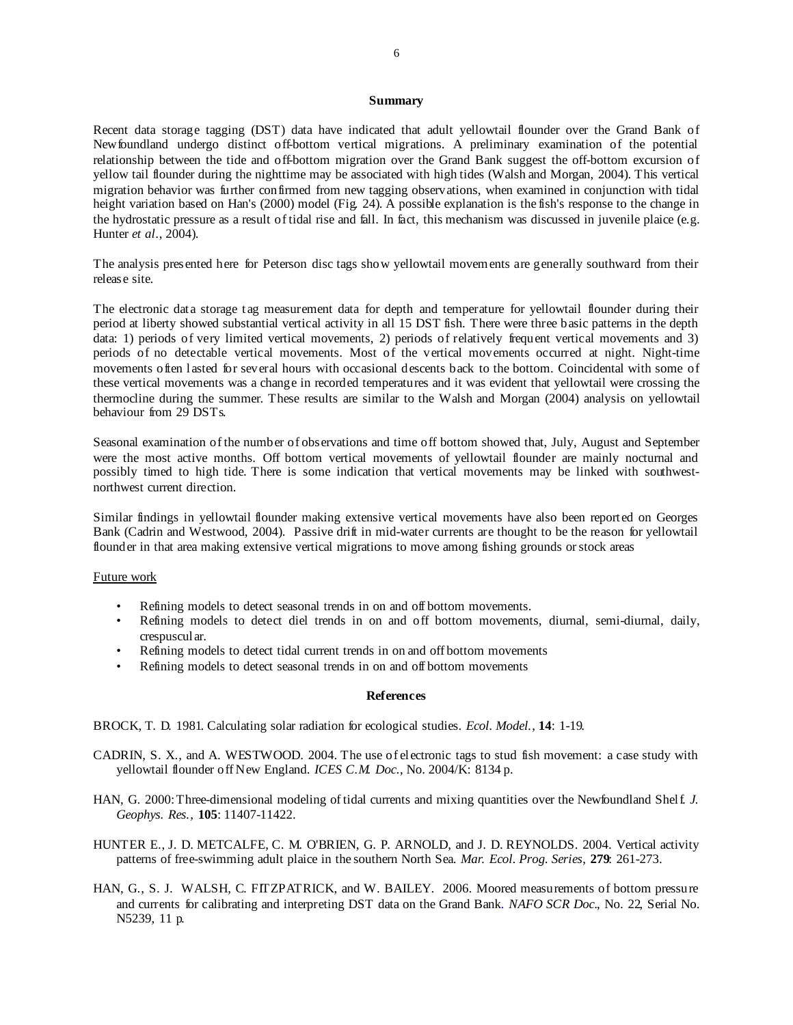### **Summary**

Recent data storage tagging (DST) data have indicated that adult yellowtail flounder over the Grand Bank of Newfoundland undergo distinct off-bottom vertical migrations. A preliminary examination of the potential relationship between the tide and off-bottom migration over the Grand Bank suggest the off-bottom excursion of yellow tail flounder during the nighttime may be associated with high tides (Walsh and Morgan, 2004). This vertical migration behavior was further confirmed from new tagging observations, when examined in conjunction with tidal height variation based on Han's (2000) model (Fig. 24). A possible explanation is the fish's response to the change in the hydrostatic pressure as a result of tidal rise and fall. In fact, this mechanism was discussed in juvenile plaice (e.g. Hunter *et al*., 2004).

The analysis presented here for Peterson disc tags show yellowtail movements are generally southward from their release site.

The electronic data storage tag measurement data for depth and temperature for yellowtail flounder during their period at liberty showed substantial vertical activity in all 15 DST fish. There were three basic patterns in the depth data: 1) periods of very limited vertical movements, 2) periods of relatively frequent vertical movements and 3) periods of no detectable vertical movements. Most of the vertical movements occurred at night. Night-time movements often lasted for several hours with occasional descents back to the bottom. Coincidental with some of these vertical movements was a change in recorded temperatures and it was evident that yellowtail were crossing the thermocline during the summer. These results are similar to the Walsh and Morgan (2004) analysis on yellowtail behaviour from 29 DSTs.

Seasonal examination of the number of observations and time off bottom showed that, July, August and September were the most active months. Off bottom vertical movements of yellowtail flounder are mainly nocturnal and possibly timed to high tide. There is some indication that vertical movements may be linked with southwestnorthwest current direction.

Similar findings in yellowtail flounder making extensive vertical movements have also been reported on Georges Bank (Cadrin and Westwood, 2004). Passive drift in mid-water currents are thought to be the reason for yellowtail flounder in that area making extensive vertical migrations to move among fishing grounds or stock areas

### Future work

- Refining models to detect seasonal trends in on and off bottom movements.
- Refining models to detect diel trends in on and off bottom movements, diurnal, semi-diurnal, daily, crespuscular.
- Refining models to detect tidal current trends in on and off bottom movements
- Refining models to detect seasonal trends in on and off bottom movements

# **References**

BROCK, T. D. 1981. Calculating solar radiation for ecological studies. *Ecol. Model.*, **14**: 1-19.

- CADRIN, S. X., and A. WESTWOOD. 2004. The use of electronic tags to stud fish movement: a case study with yellowtail flounder off New England. *ICES C.M. Doc*., No. 2004/K: 8134 p.
- HAN, G. 2000: Three-dimensional modeling of tidal currents and mixing quantities over the Newfoundland Shelf. *J. Geophys. Res.*, **105**: 11407-11422.
- HUNTER E., J. D. METCALFE, C. M. O'BRIEN, G. P. ARNOLD, and J. D. REYNOLDS. 2004. Vertical activity patterns of free-swimming adult plaice in the southern North Sea. *Mar. Ecol. Prog. Series*, **279**: 261-273.
- HAN, G., S. J. WALSH, C. FITZPATRICK, and W. BAILEY. 2006. Moored measurements of bottom pressure and currents for calibrating and interpreting DST data on the Grand Bank. *NAFO SCR Doc*., No. 22, Serial No. N5239, 11 p.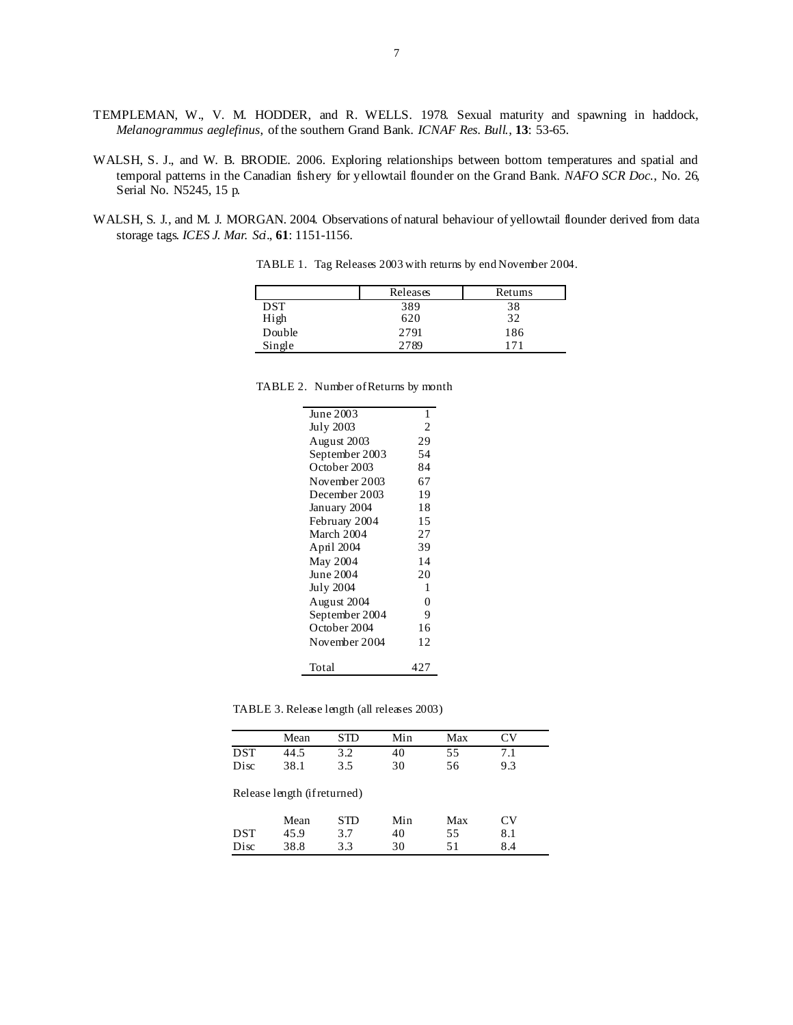- TEMPLEMAN, W., V. M. HODDER, and R. WELLS. 1978. Sexual maturity and spawning in haddock, *Melanogrammus aeglefinus*, of the southern Grand Bank. *ICNAF Res. Bull*., **13**: 53-65.
- WALSH, S. J., and W. B. BRODIE. 2006. Exploring relationships between bottom temperatures and spatial and temporal patterns in the Canadian fishery for yellowtail flounder on the Grand Bank. *NAFO SCR Doc*., No. 26, Serial No. N5245, 15 p.
- WALSH, S. J., and M. J. MORGAN. 2004. Observations of natural behaviour of yellowtail flounder derived from data storage tags. *ICES J. Mar. Sci*., **61**: 1151-1156.

|        | Releases | Retums |
|--------|----------|--------|
| DST    | 389      | 38     |
| High   | 620      | 32     |
| Double | 2791     | 186    |
| Single | 2789     |        |

TABLE 1. Tag Releases 2003 with returns by end November 2004.

| June 2003.     | 1   |
|----------------|-----|
| July 2003      | 2   |
| August 2003    | 29  |
| September 2003 | 54  |
| October 2003   | 84  |
| November 2003  | 67  |
| December 2003  | 19  |
| January 2004   | 18  |
| February 2004  | 15  |
| March 2004     | 27  |
| April 2004     | 39  |
| May 2004       | 14  |
| June 2004      | 20  |
| July 2004      | 1   |
| August 2004    | 0   |
| September 2004 | 9   |
| October 2004   | 16  |
| November 2004  | 12  |
| Total          | 427 |

TABLE 3. Release length (all releases 2003)

|            | Mean                                 | <b>STD</b> | Min | Max | CV        |
|------------|--------------------------------------|------------|-----|-----|-----------|
| <b>DST</b> | 44.5                                 | 3.2        | 40  | 55  | 7.1       |
| Disc       | 38.1                                 | 3.5        | 30  | 56  | 9.3       |
|            | Release length (if returned)<br>Mean | <b>STD</b> | Min | Max | <b>CV</b> |
| <b>DST</b> | 45.9                                 | 3.7        | 40  | 55  | 8.1       |
|            |                                      |            |     |     |           |
| Disc       | 38.8                                 | 3.3        | 30  | 51  | 8.4       |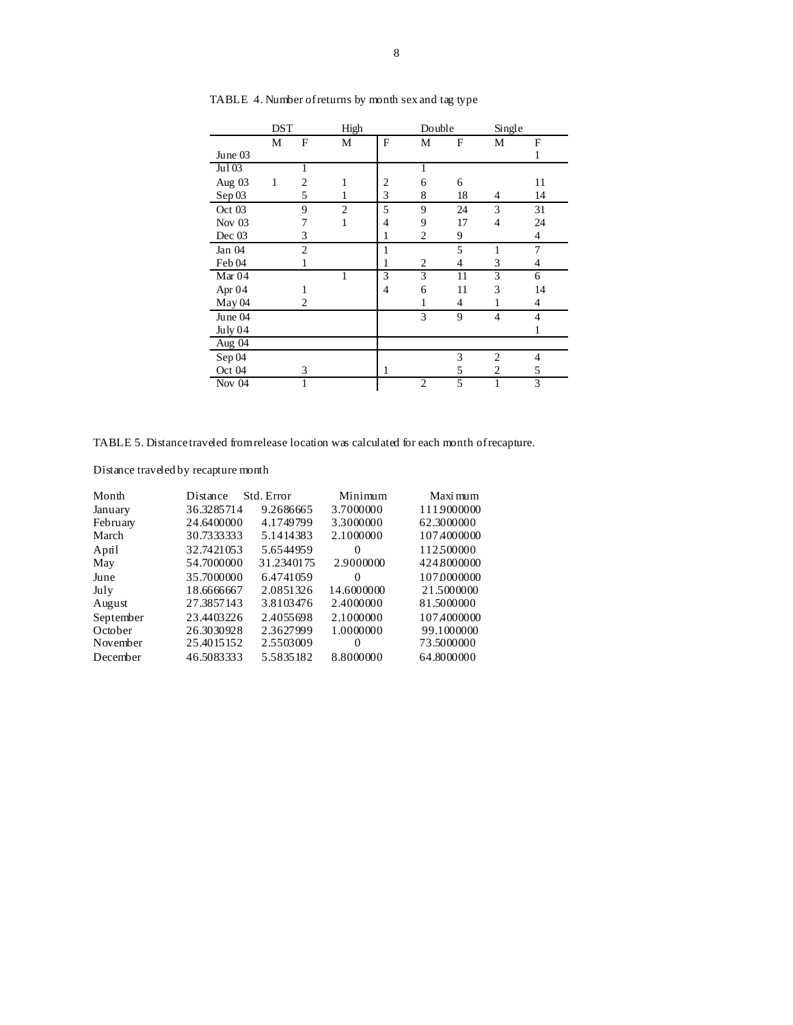|                   | <b>DST</b> |                | High           |                | Double         |    | Single         |                |
|-------------------|------------|----------------|----------------|----------------|----------------|----|----------------|----------------|
|                   | M          | F              | М              | $\mathbf{F}$   | М              | F  | М              | F              |
| June 03           |            |                |                |                |                |    |                | 1              |
| Jul 03            |            |                |                |                | $\mathbf{1}$   |    |                |                |
| Aug 03            | 1          | 2              | 1              | $\overline{2}$ | 6              | 6  |                | 11             |
| Sep 03            |            | 5              | 1              | 3              | 8              | 18 | 4              | 14             |
| Oct 03            |            | 9              | $\overline{c}$ | 5              | 9              | 24 | 3              | 31             |
| Nov $03$          |            | 7              | 1              | 4              | 9              | 17 | $\overline{4}$ | 24             |
| Dec 03            |            | 3              |                | 1              | $\mathfrak{2}$ | 9  |                | 4              |
| Jan 04            |            | $\overline{2}$ |                | 1              |                | 5  | 1              | 7              |
| Feb <sub>04</sub> |            | 1              |                |                | $\overline{c}$ | 4  | 3              | 4              |
| Mar 04            |            |                | 1              | 3              | $\overline{3}$ | 11 | 3              | 6              |
| Apr 04            |            |                |                | 4              | 6              | 11 | 3              | 14             |
| May 04            |            | 2              |                |                |                | 4  |                | 4              |
| June 04           |            |                |                |                | 3              | 9  | $\overline{4}$ | $\overline{4}$ |
| July 04           |            |                |                |                |                |    |                | 1              |
| Aug $04$          |            |                |                |                |                |    |                |                |
| Sep 04            |            |                |                |                |                | 3  | $\overline{2}$ | $\overline{4}$ |
| Oct 04            |            | 3              |                | 1              |                | 5  | $\overline{c}$ | 5              |
| Nov $04$          |            |                |                |                | $\overline{2}$ | 5  |                | 3              |

TABLE 4. Number of returns by month sex and tag type

TABLE 5. Distance traveled from release location was calculated for each month of recapture.

Distance traveled by recapture month

| Month     | Distance   | Std. Error | Minimum    | Maxi mum    |
|-----------|------------|------------|------------|-------------|
| January   | 36.3285714 | 9.2686665  | 3.7000000  | 1119000000  |
| February  | 24.6400000 | 4.1749799  | 3.3000000  | 62.3000000  |
| March     | 30.7333333 | 5.1414383  | 2.1000000  | 107.4000000 |
| April     | 32.7421053 | 5.6544959  | $\theta$   | 112500000   |
| May       | 54.7000000 | 31.2340175 | 2.9000000  | 4248000000  |
| June      | 35.7000000 | 6.4741059  | 0          | 107,0000000 |
| July      | 18.6666667 | 2.0851326  | 14.6000000 | 21.5000000  |
| August    | 27.3857143 | 3.8103476  | 2.4000000  | 81.5000000  |
| September | 23.4403226 | 2.4055698  | 2.1000000  | 107,4000000 |
| October   | 26.3030928 | 2.3627999  | 1.0000000  | 99.1000000  |
| November  | 25.4015152 | 2.5503009  | 0          | 73.5000000  |
| December  | 46.5083333 | 5.5835182  | 8.8000000  | 64.8000000  |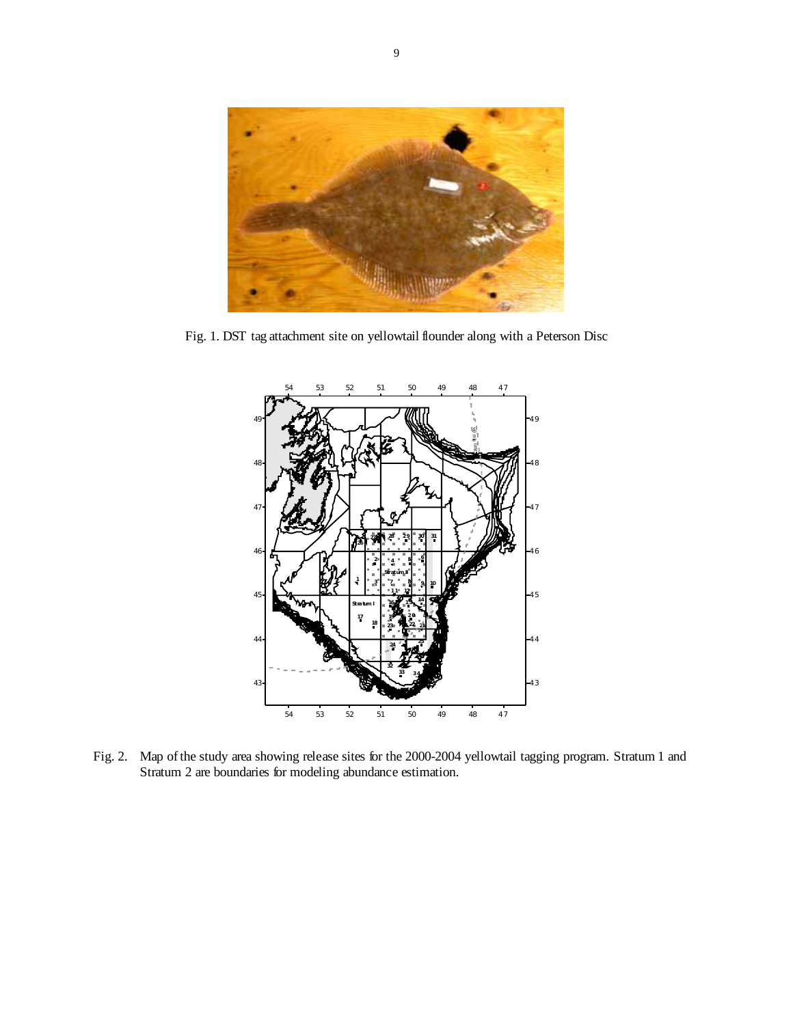

Fig. 1. DST tag attachment site on yellowtail flounder along with a Peterson Disc



Fig. 2. Map of the study area showing release sites for the 2000-2004 yellowtail tagging program. Stratum 1 and Stratum 2 are boundaries for modeling abundance estimation.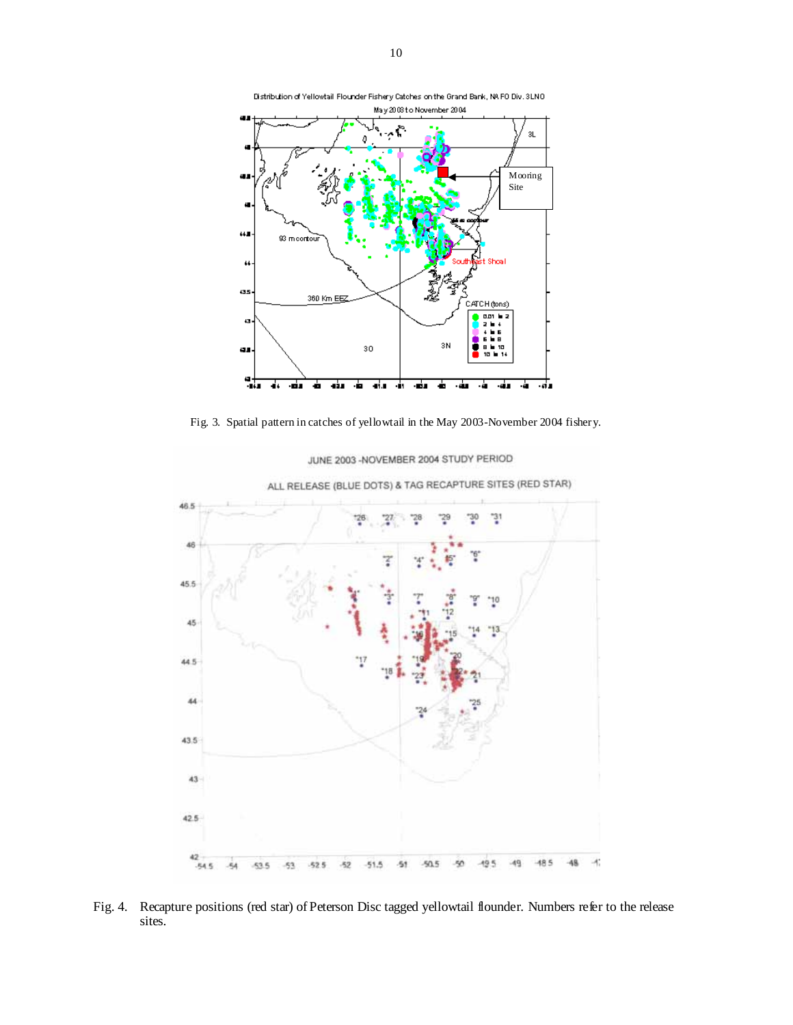

Fig. 3. Spatial pattern in catches of yellowtail in the May 2003-November 2004 fishery.



ALL RELEASE (BLUE DOTS) & TAG RECAPTURE SITES (RED STAR)

JUNE 2003 -NOVEMBER 2004 STUDY PERIOD

Fig. 4. Recapture positions (red star) of Peterson Disc tagged yellowtail flounder. Numbers refer to the release sites.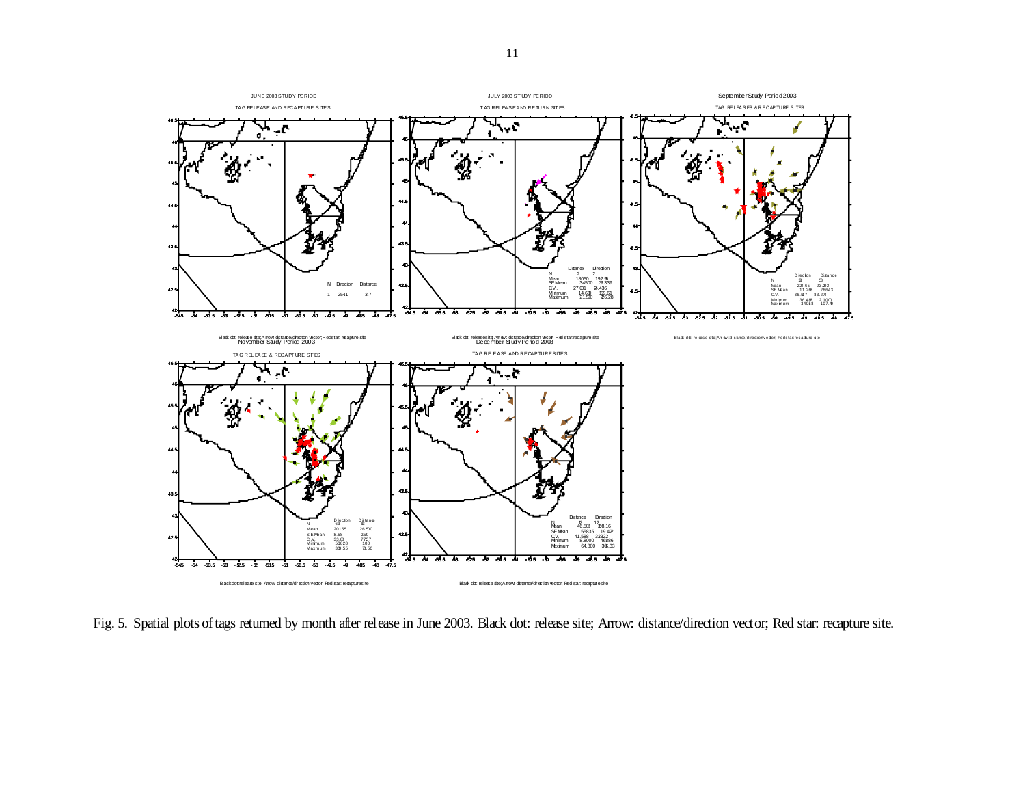

Fig. 5. Spatial plots of tags returned by month after release in June 2003. Black dot: release site; Arrow: distance/direction vector; Red star: recapture site.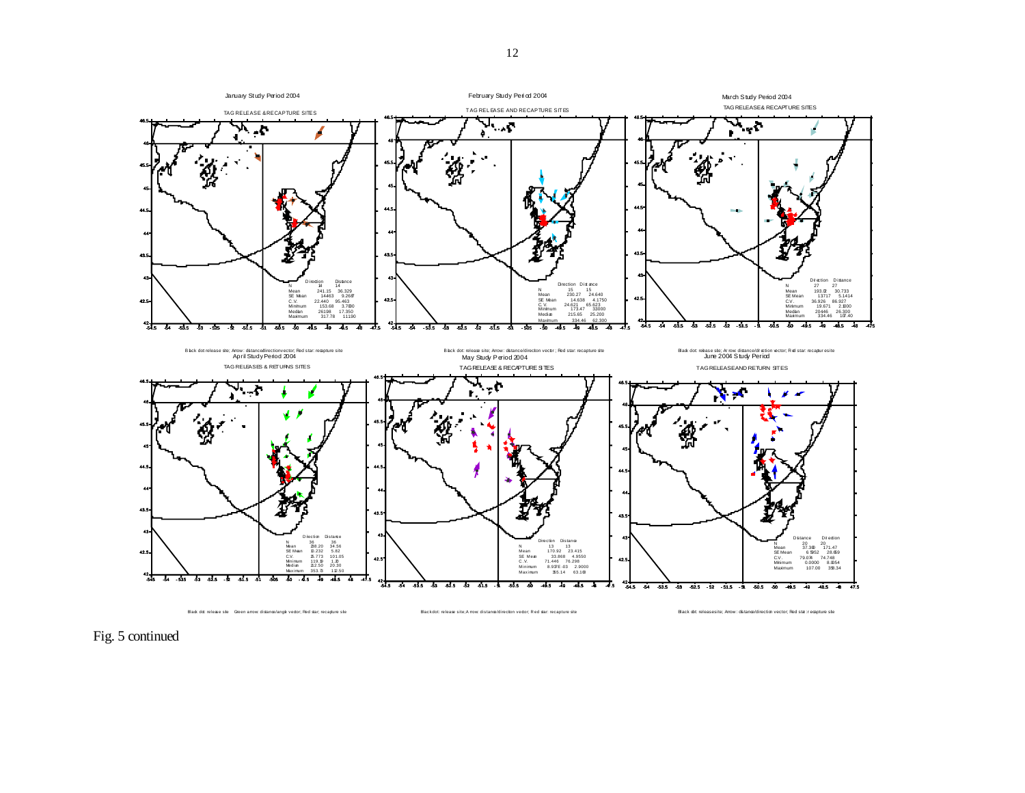

Fig. 5 continued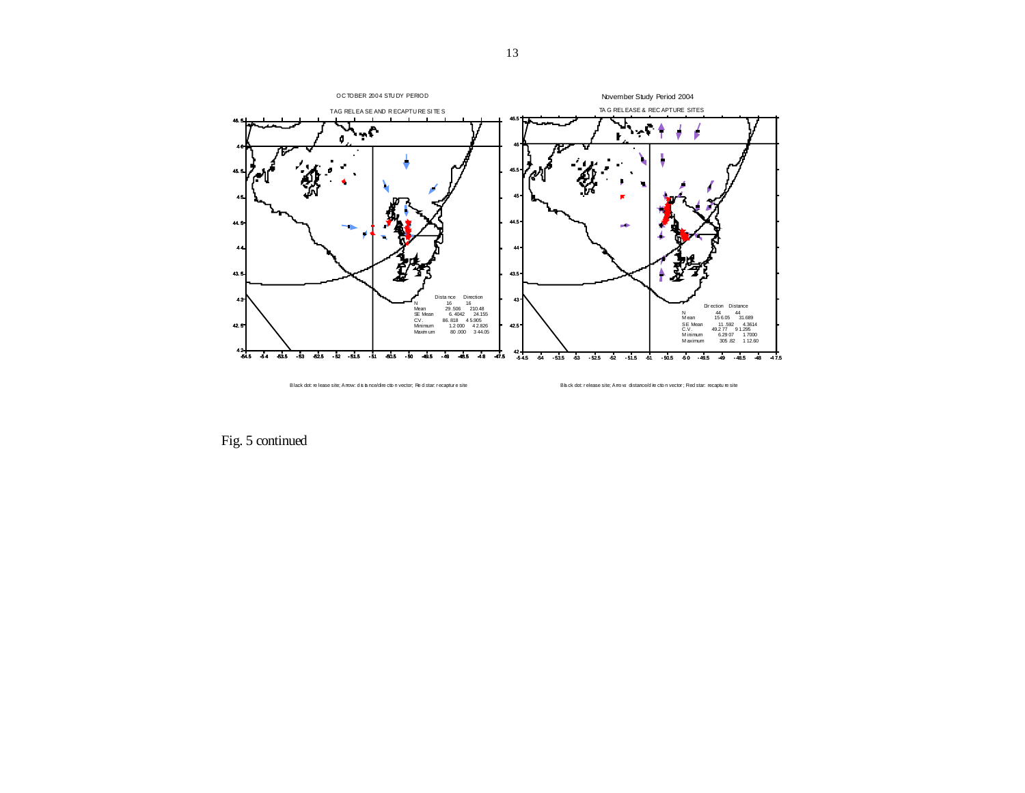

Black dot: re lease site; A rrow: d is a nce/dire ctio n vector; Re d star: r ecaptur e site

Bla ck dot: r elease site; Arro w: distance/d ire ctio n vector ; Red star: recaptu re site

Fig. 5 continued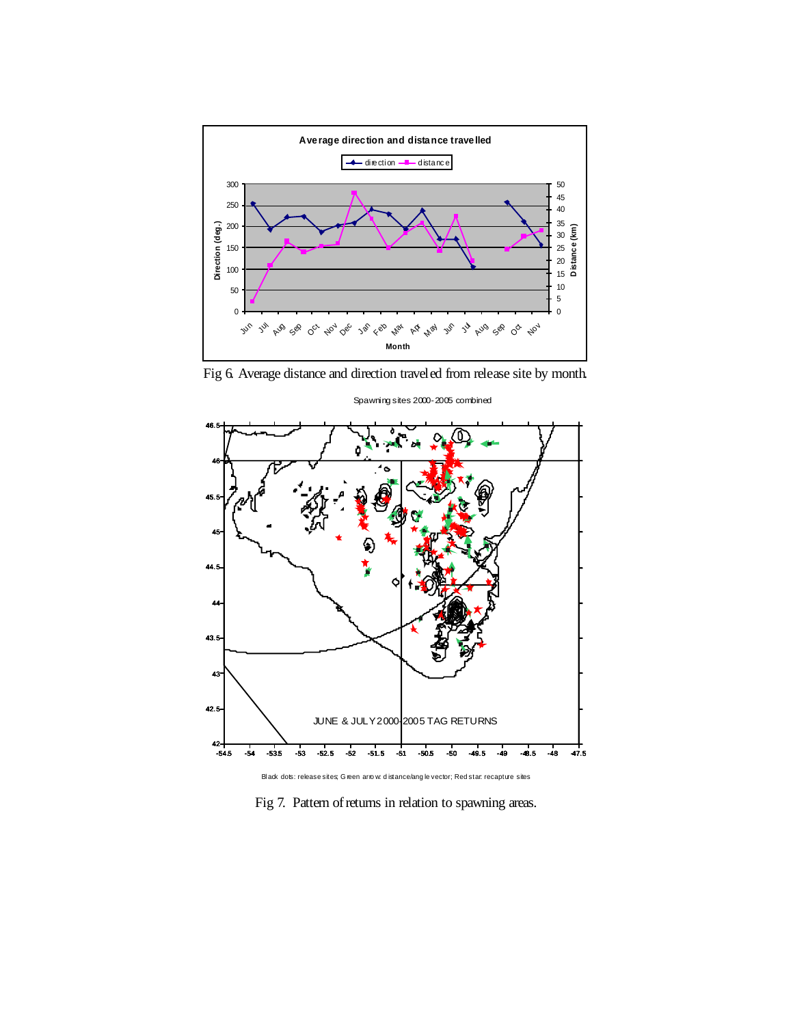

Fig 6. Average distance and direction traveled from release site by month.



Spawning sites 2000-2005 combined

Black dots: release sites; G reen arro w: d istance/ang le vector; Red star: recapture sites

Fig 7. Pattern of returns in relation to spawning areas.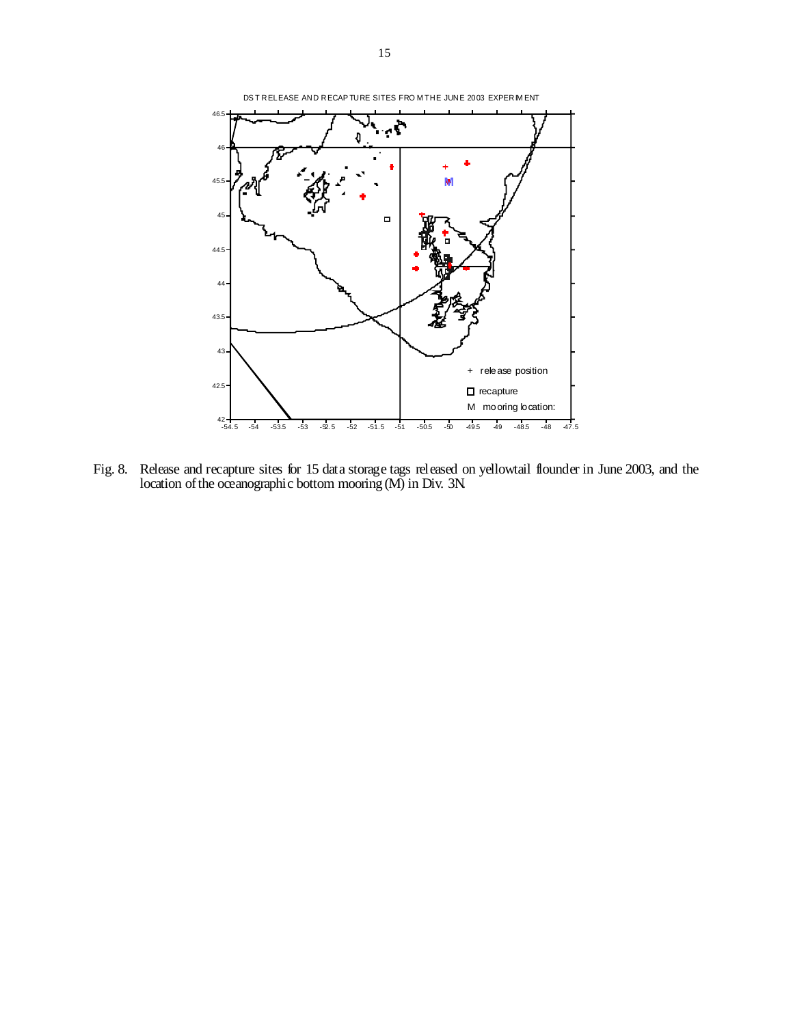

Fig. 8. Release and recapture sites for 15 data storage tags released on yellowtail flounder in June 2003, and the location of the oceanographic bottom mooring (M) in Div. 3N.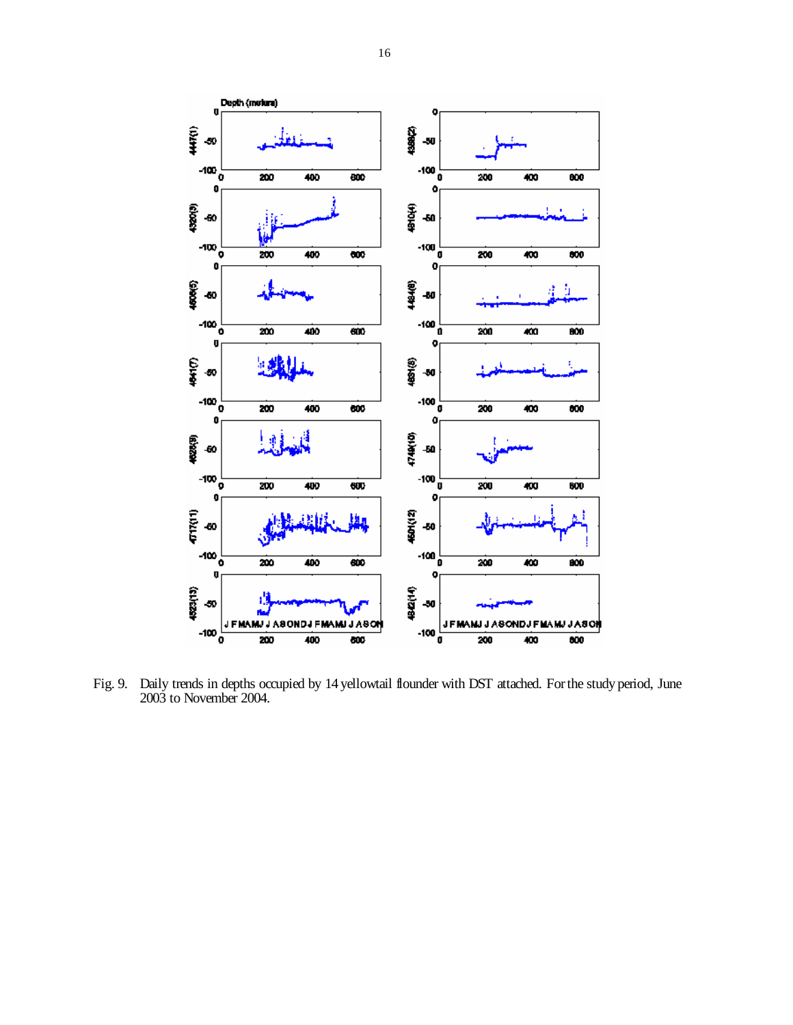

Fig. 9. Daily trends in depths occupied by 14 yellowtail flounder with DST attached. For the study period, June 2003 to November 2004.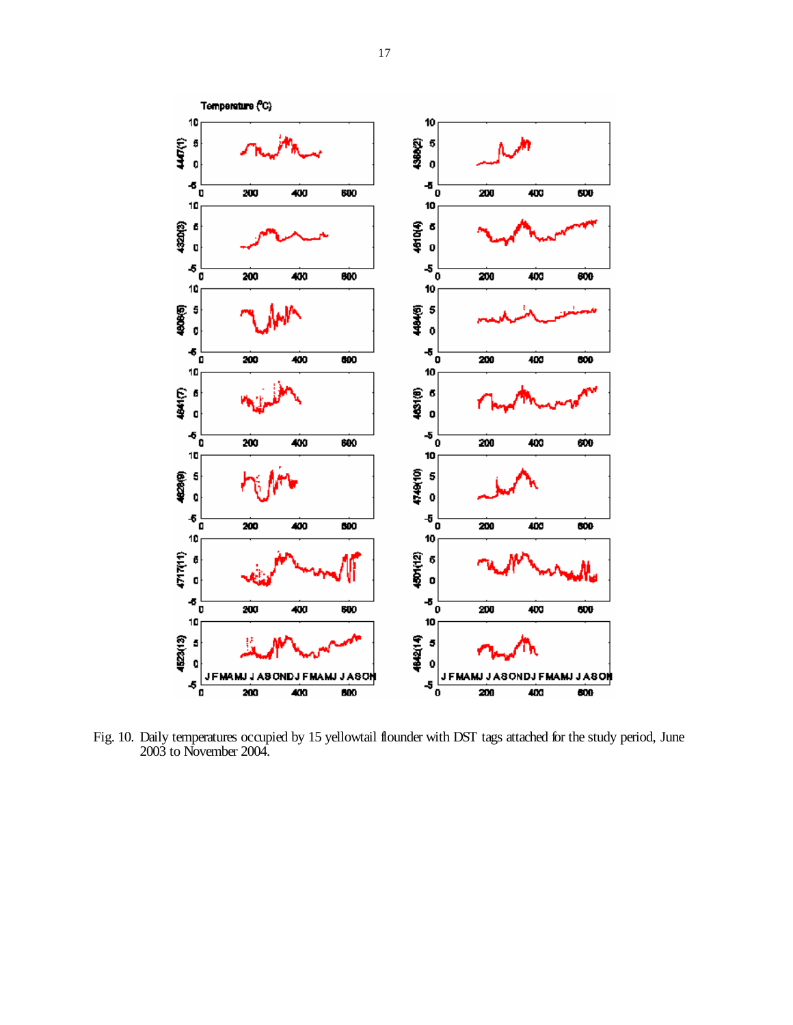

Fig. 10. Daily temperatures occupied by 15 yellowtail flounder with DST tags attached for the study period, June 2003 to November 2004.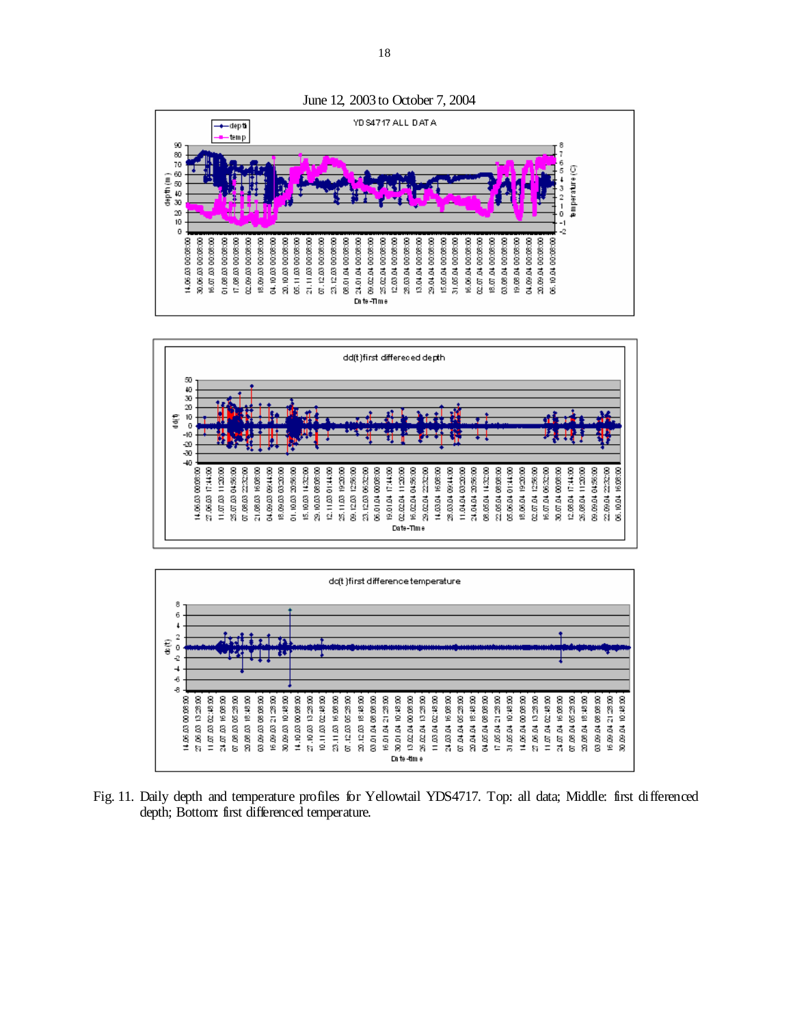





Fig. 11. Daily depth and temperature profiles for Yellowtail YDS4717. Top: all data; Middle: first differenced depth; Bottom: first differenced temperature.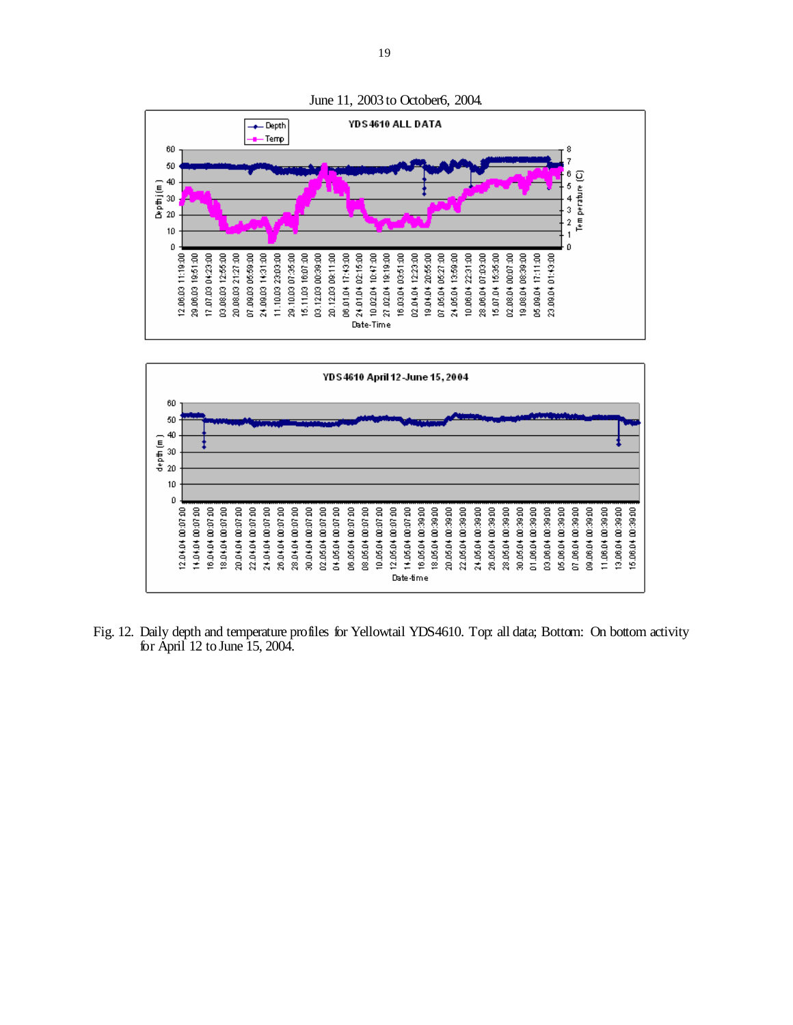

Fig. 12. Daily depth and temperature profiles for Yellowtail YDS4610. Top: all data; Bottom: On bottom activity for April 12 to June 15, 2004.

June 11, 2003 to October6, 2004.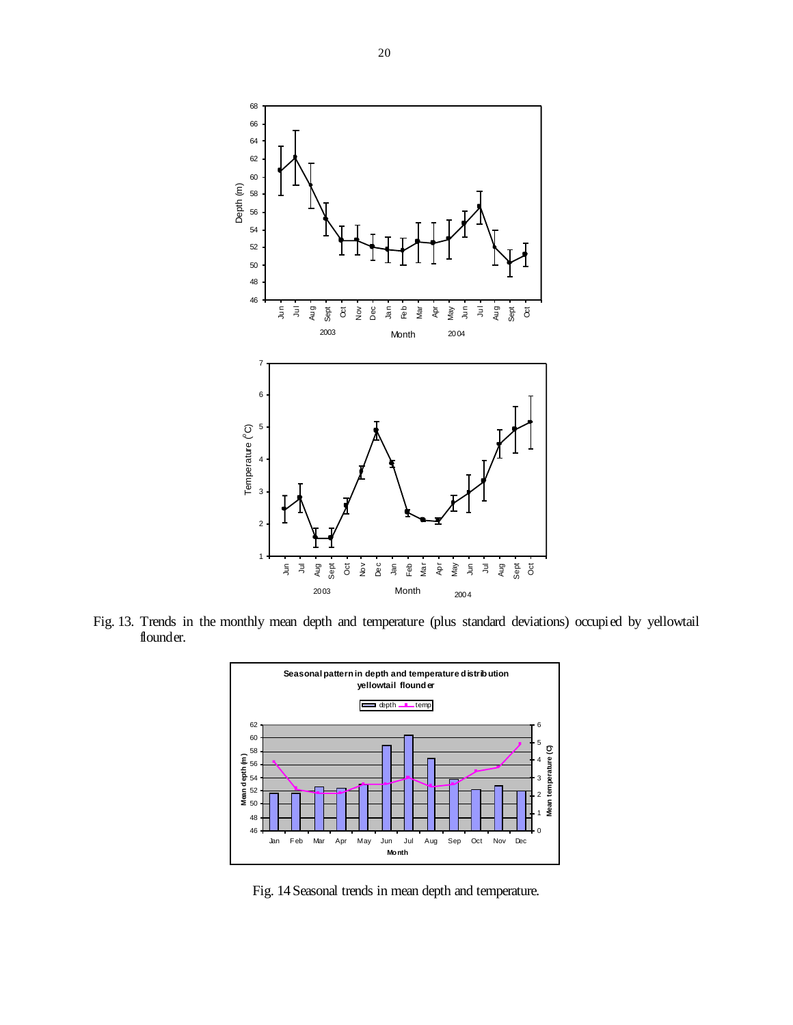

Fig. 13. Trends in the monthly mean depth and temperature (plus standard deviations) occupied by yellowtail flounder.



Fig. 14 Seasonal trends in mean depth and temperature.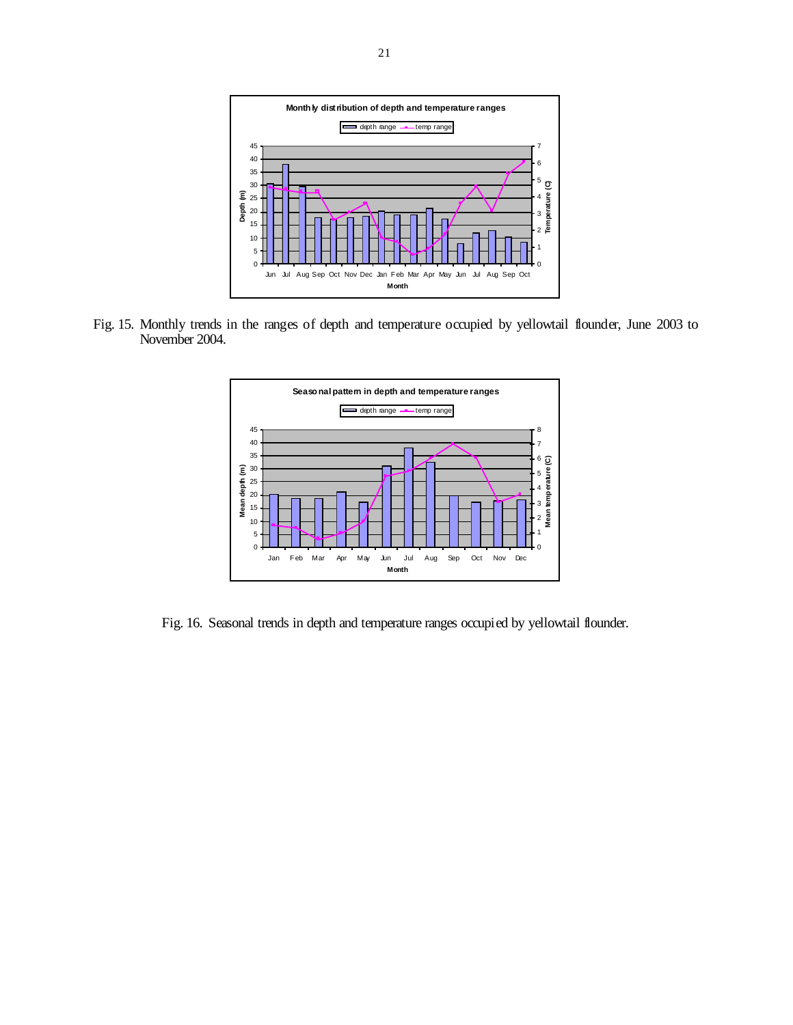

Fig. 15. Monthly trends in the ranges of depth and temperature occupied by yellowtail flounder, June 2003 to November 2004.



Fig. 16. Seasonal trends in depth and temperature ranges occupied by yellowtail flounder.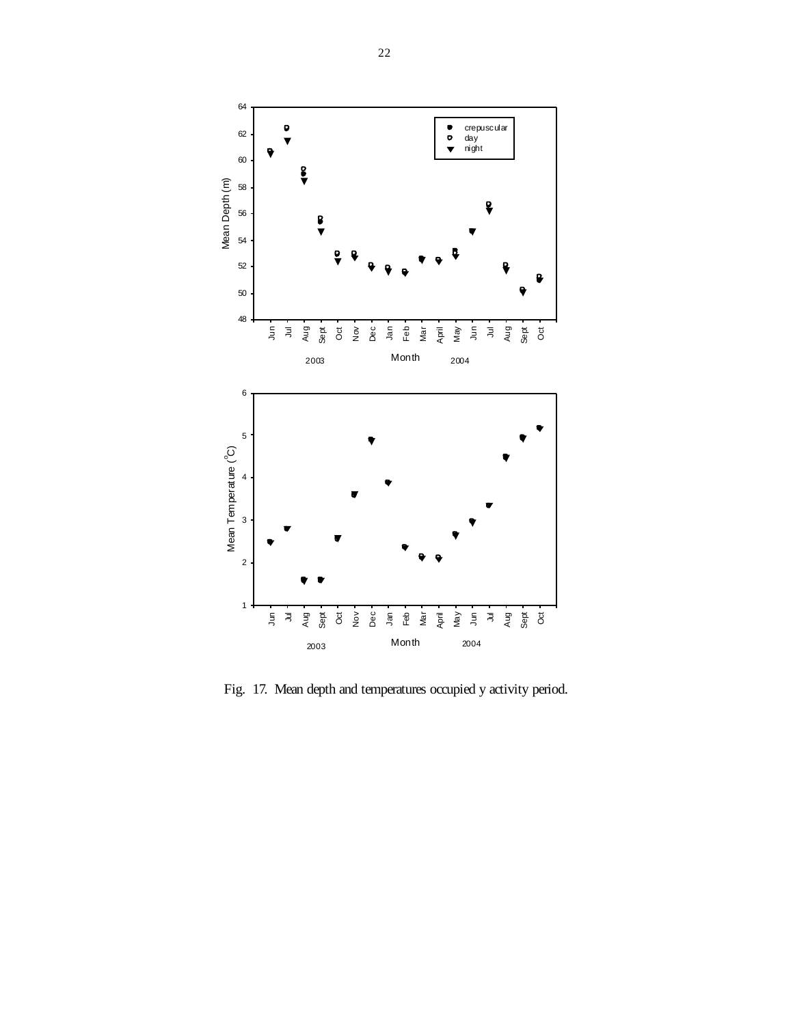

Fig. 17. Mean depth and temperatures occupied y activity period.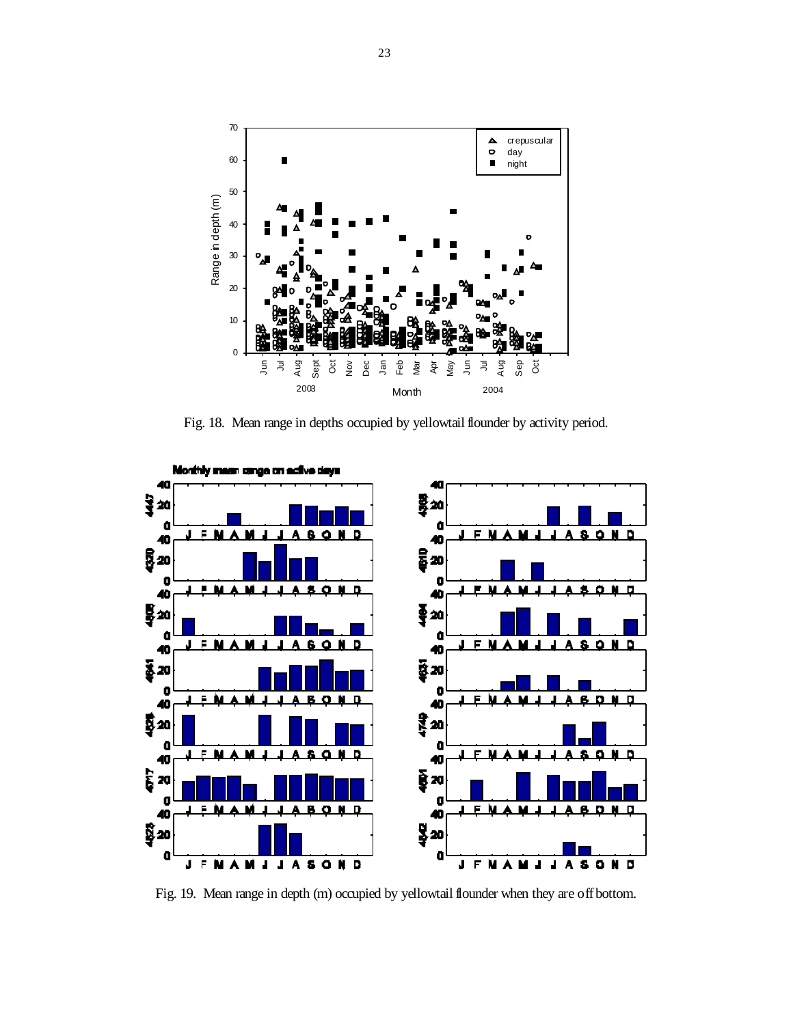

Fig. 18. Mean range in depths occupied by yellowtail flounder by activity period.



Fig. 19. Mean range in depth (m) occupied by yellowtail flounder when they are off bottom.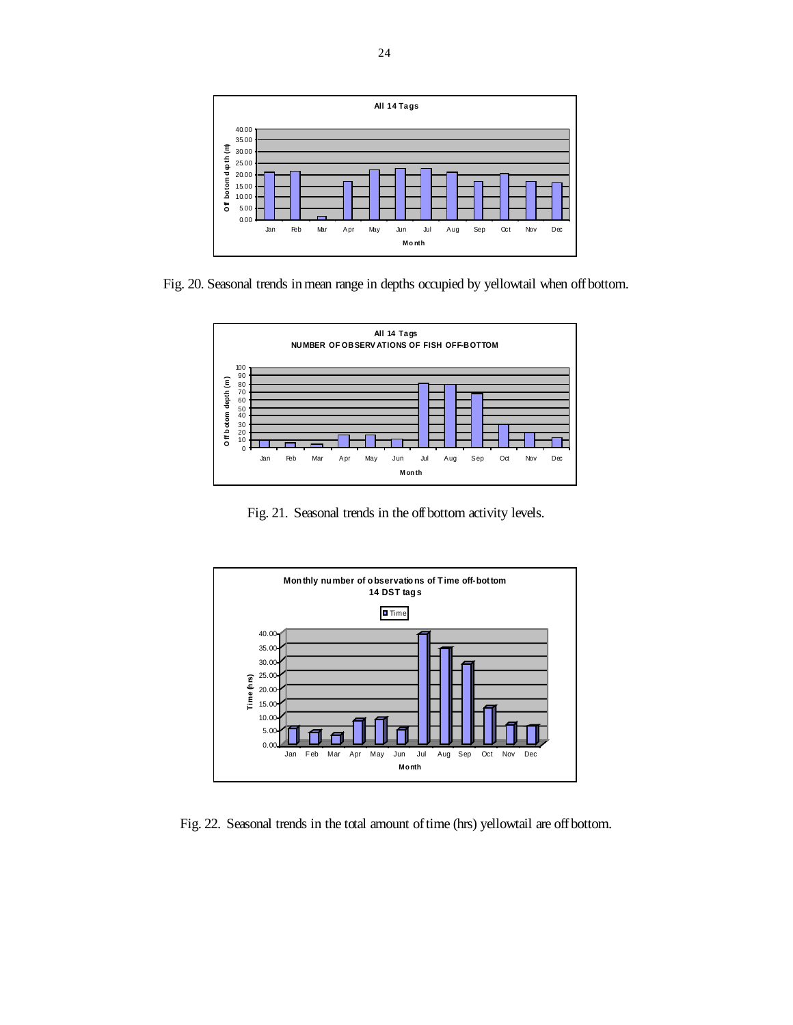

Fig. 20. Seasonal trends in mean range in depths occupied by yellowtail when off bottom.



Fig. 21. Seasonal trends in the off bottom activity levels.



Fig. 22. Seasonal trends in the total amount of time (hrs) yellowtail are off bottom.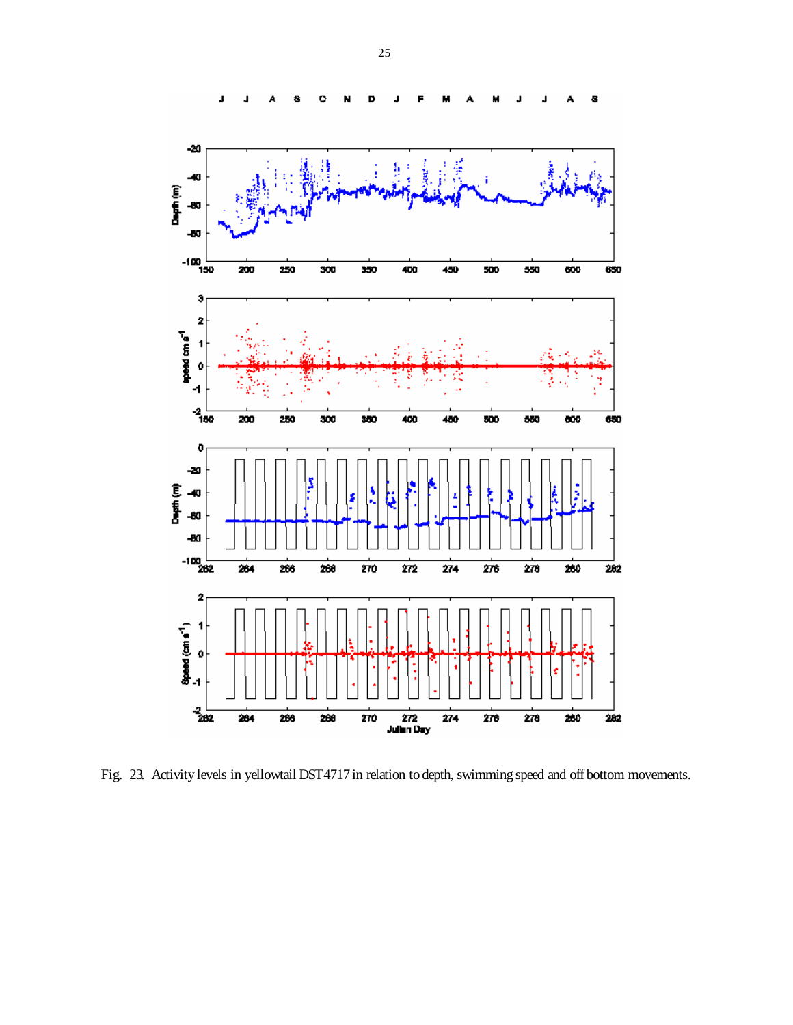

Fig. 23. Activity levels in yellowtail DST4717 in relation to depth, swimming speed and off bottom movements.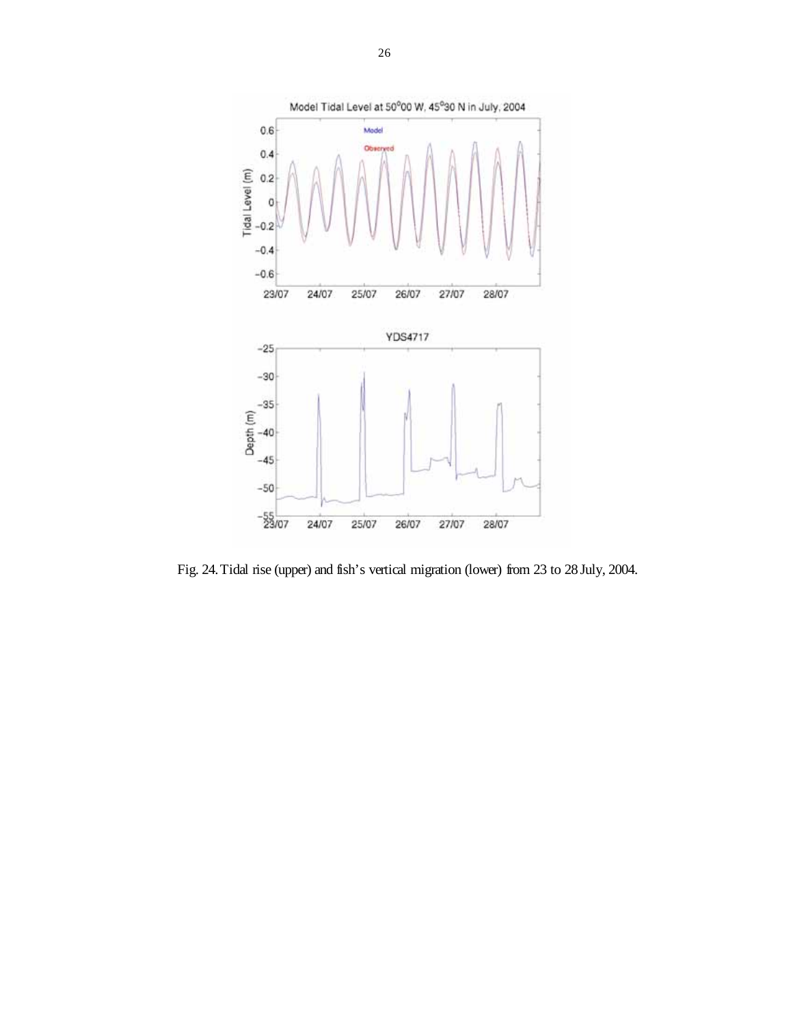

Fig. 24. Tidal rise (upper) and fish's vertical migration (lower) from 23 to 28 July, 2004.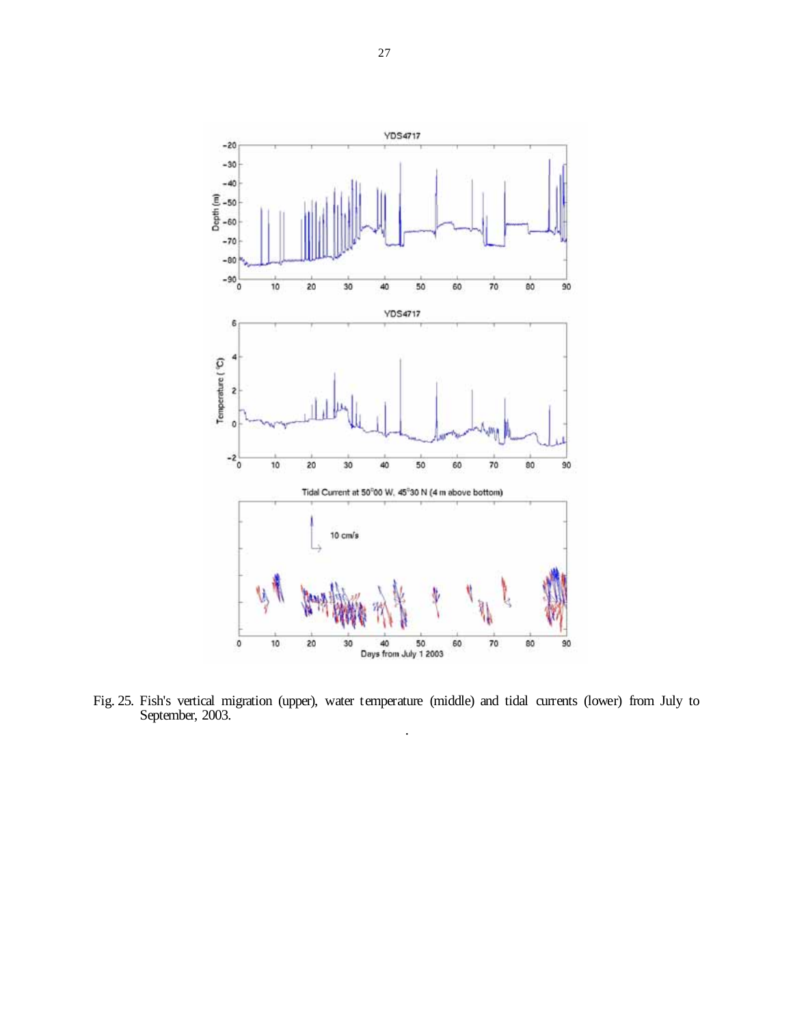

Fig. 25. Fish's vertical migration (upper), water temperature (middle) and tidal currents (lower) from July to September, 2003.

.